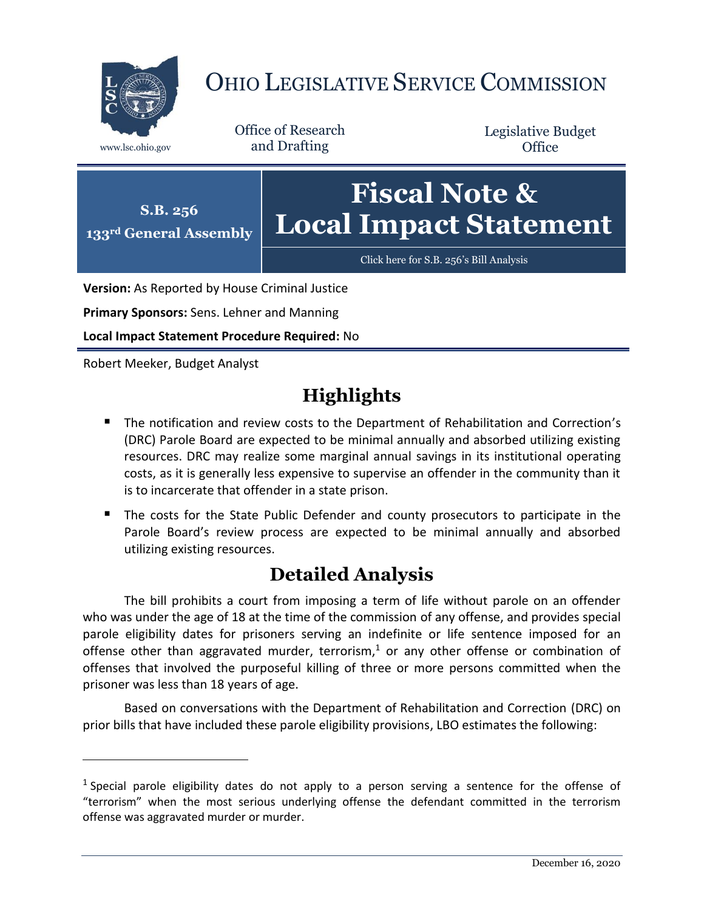

## OHIO LEGISLATIVE SERVICE COMMISSION

Office of Research www.lsc.ohio.gov and Drafting

Legislative Budget **Office** 



**Version:** As Reported by House Criminal Justice

**Primary Sponsors:** Sens. Lehner and Manning

**Local Impact Statement Procedure Required:** No

Robert Meeker, Budget Analyst

 $\overline{a}$ 

## **Highlights**

- **The notification and review costs to the Department of Rehabilitation and Correction's** (DRC) Parole Board are expected to be minimal annually and absorbed utilizing existing resources. DRC may realize some marginal annual savings in its institutional operating costs, as it is generally less expensive to supervise an offender in the community than it is to incarcerate that offender in a state prison.
- The costs for the State Public Defender and county prosecutors to participate in the Parole Board's review process are expected to be minimal annually and absorbed utilizing existing resources.

## **Detailed Analysis**

The bill prohibits a court from imposing a term of life without parole on an offender who was under the age of 18 at the time of the commission of any offense, and provides special parole eligibility dates for prisoners serving an indefinite or life sentence imposed for an offense other than aggravated murder, terrorism,<sup>1</sup> or any other offense or combination of offenses that involved the purposeful killing of three or more persons committed when the prisoner was less than 18 years of age.

Based on conversations with the Department of Rehabilitation and Correction (DRC) on prior bills that have included these parole eligibility provisions, LBO estimates the following:

<sup>&</sup>lt;sup>1</sup> Special parole eligibility dates do not apply to a person serving a sentence for the offense of "terrorism" when the most serious underlying offense the defendant committed in the terrorism offense was aggravated murder or murder.